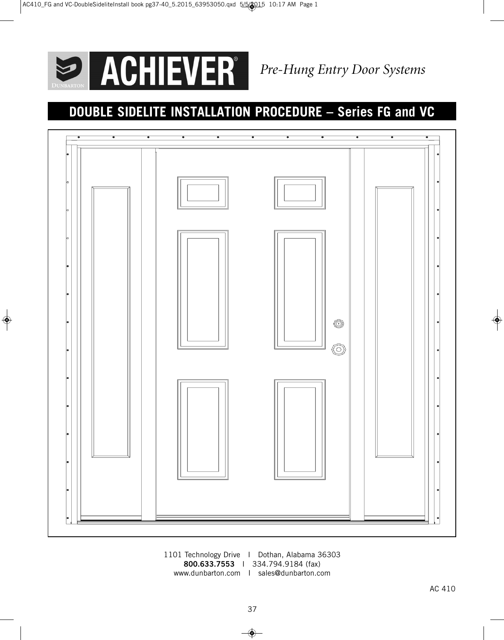

 $\bigoplus$ 

# **DOUBLE SIDELITE INSTALLATION PROCEDURE – Series FG and VC**



1101 Technology Drive I Dothan, Alabama 36303 **800.633.7553** I 334.794.9184 (fax) www.dunbarton.com I sales@dunbarton.com

 $\Rightarrow$ 

◈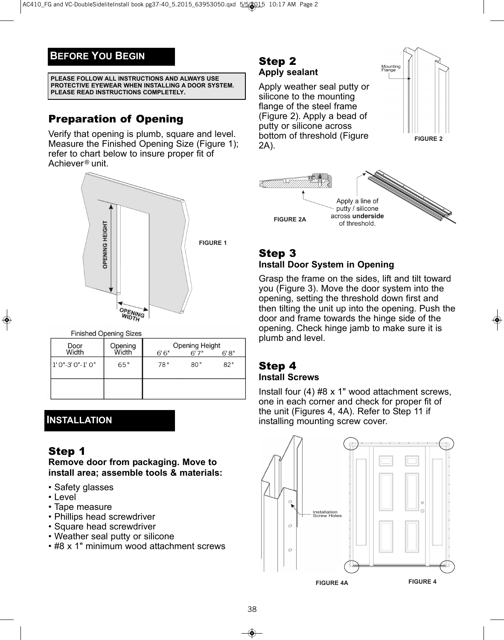## **BEFORE YOU BEGIN**

**PLEASE FOLLOW ALL INSTRUCTIONS AND ALWAYS USE PROTECTIVE EYEWEAR WHEN INSTALLING A DOOR SYSTEM. PLEASE READ INSTRUCTIONS COMPLETELY.**

## Preparation of Opening

Verify that opening is plumb, square and level. Measure the Finished Opening Size (Figure 1); refer to chart below to insure proper fit of Achiever<sup>®</sup> unit.



**Finished Opening Sizes** 

| Door<br>Width  | Opening<br><b>Midth</b> | <b>Opening Height</b><br>6'6''<br>6'7''<br>6'8'' |     |     |
|----------------|-------------------------|--------------------------------------------------|-----|-----|
| 1'0"-3'0"-1'0" | 65"                     | 78"                                              | 80" | 82" |
|                |                         |                                                  |     |     |

### **INSTALLATION**

### Step 1

**Remove door from packaging. Move to install area; assemble tools & materials:**

- Safety glasses
- Level
- Tape measure
- Phillips head screwdriver
- Square head screwdriver
- Weather seal putty or silicone
- #8 x 1" minimum wood attachment screws

#### Step 2 **Apply sealant**

Apply weather seal putty or silicone to the mounting flange of the steel frame (Figure 2). Apply a bead of putty or silicone across bottom of threshold (Figure 2A).





### Step 3 **Install Door System in Opening**

Grasp the frame on the sides, lift and tilt toward you (Figure 3). Move the door system into the opening, setting the threshold down first and then tilting the unit up into the opening. Push the door and frame towards the hinge side of the opening. Check hinge jamb to make sure it is plumb and level.

# Step 4

#### **Install Screws**

Install four (4) #8 x 1" wood attachment screws, one in each corner and check for proper fit of the unit (Figures 4, 4A). Refer to Step 11 if installing mounting screw cover.



**FIGURE 4A**

38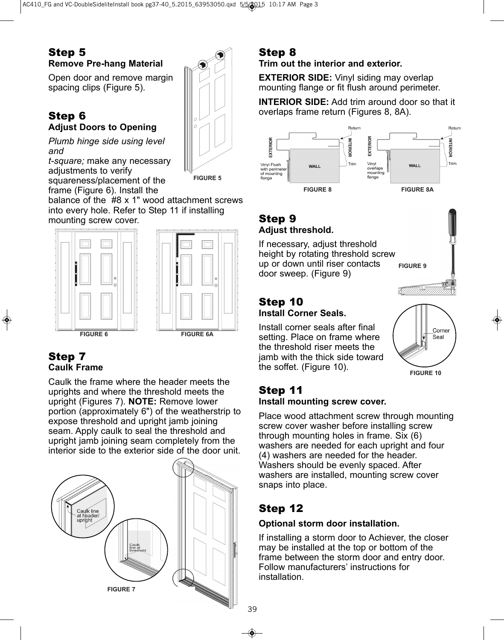### Step 5 **Remove Pre-hang Material**

Open door and remove margin spacing clips (Figure 5).

#### Step 6 **Adjust Doors to Opening**

*Plumb hinge side using level and*

*t-square;* make any necessary adjustments to verify squareness/placement of the

**FIGURE 5**

frame (Figure 6). Install the balance of the #8 x 1" wood attachment screws into every hole. Refer to Step 11 if installing mounting screw cover.



### Step 7 **Caulk Frame**

Caulk the frame where the header meets the uprights and where the threshold meets the upright (Figures 7). **NOTE:** Remove lower portion (approximately 6") of the weatherstrip to expose threshold and upright jamb joining seam. Apply caulk to seal the threshold and upright jamb joining seam completely from the interior side to the exterior side of the door unit.



## Step 8

#### **Trim out the interior and exterior.**

**EXTERIOR SIDE:** Vinyl siding may overlap mounting flange or fit flush around perimeter.

**INTERIOR SIDE:** Add trim around door so that it overlaps frame return (Figures 8, 8A).



### Step 9 **Adjust threshold.**

If necessary, adjust threshold height by rotating threshold screw up or down until riser contacts door sweep. (Figure 9) **FIGURE 9**

#### Step 10 **Install Corner Seals.**

Install corner seals after final setting. Place on frame where

the threshold riser meets the jamb with the thick side toward the soffet. (Figure 10).

**FIGURE 10**

Corner Seal

### Step 11 **Install mounting screw cover.**

Place wood attachment screw through mounting screw cover washer before installing screw through mounting holes in frame. Six (6) washers are needed for each upright and four (4) washers are needed for the header. Washers should be evenly spaced. After washers are installed, mounting screw cover snaps into place.

## Step 12

### **Optional storm door installation.**

If installing a storm door to Achiever, the closer may be installed at the top or bottom of the frame between the storm door and entry door. Follow manufacturers' instructions for installation.

39